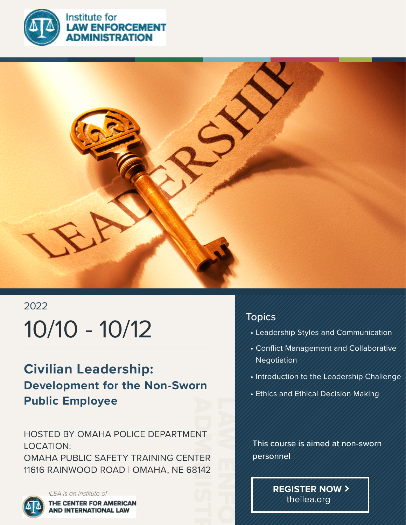

**NISTRATION** 



# 2022 10/10 - 10/12

### **Civilian Leadership: Development for the Non-Sworn Public Employee**

HOSTED BY OMAHA POLICE DEPARTMENT LOCATION:

NT<br>TER<br>3142 OMAHA PUBLIC SAFETY TRAINING CENTER 11616 RAINWOOD ROAD | OMAHA, NE 68142

![](_page_0_Picture_6.jpeg)

THE CENTER FOR AMERICAN **AND INTERNATIONAL LAW** 

#### Topics

LAW ENFORCEMENT

- Leadership Styles and Communication
- Conflict Management and Collaborative Negotiation
- Introduction to the Leadership Challenge
- Ethics and Ethical Decision Making

 This course is aimed at non-sworn personnel

> **REGISTER NOW** theilea.org